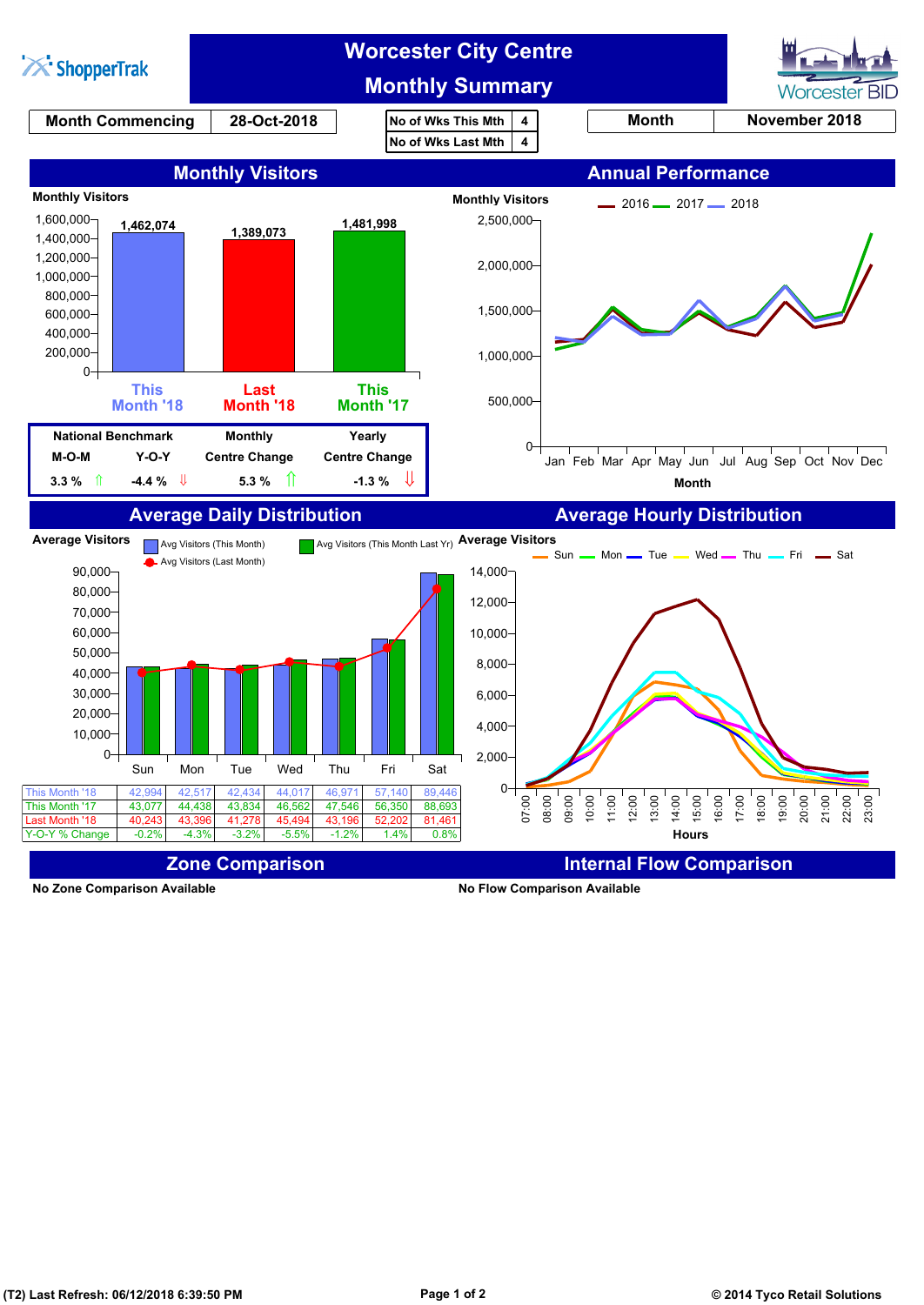

**No Zone Comparison Available No Flow Comparison Available**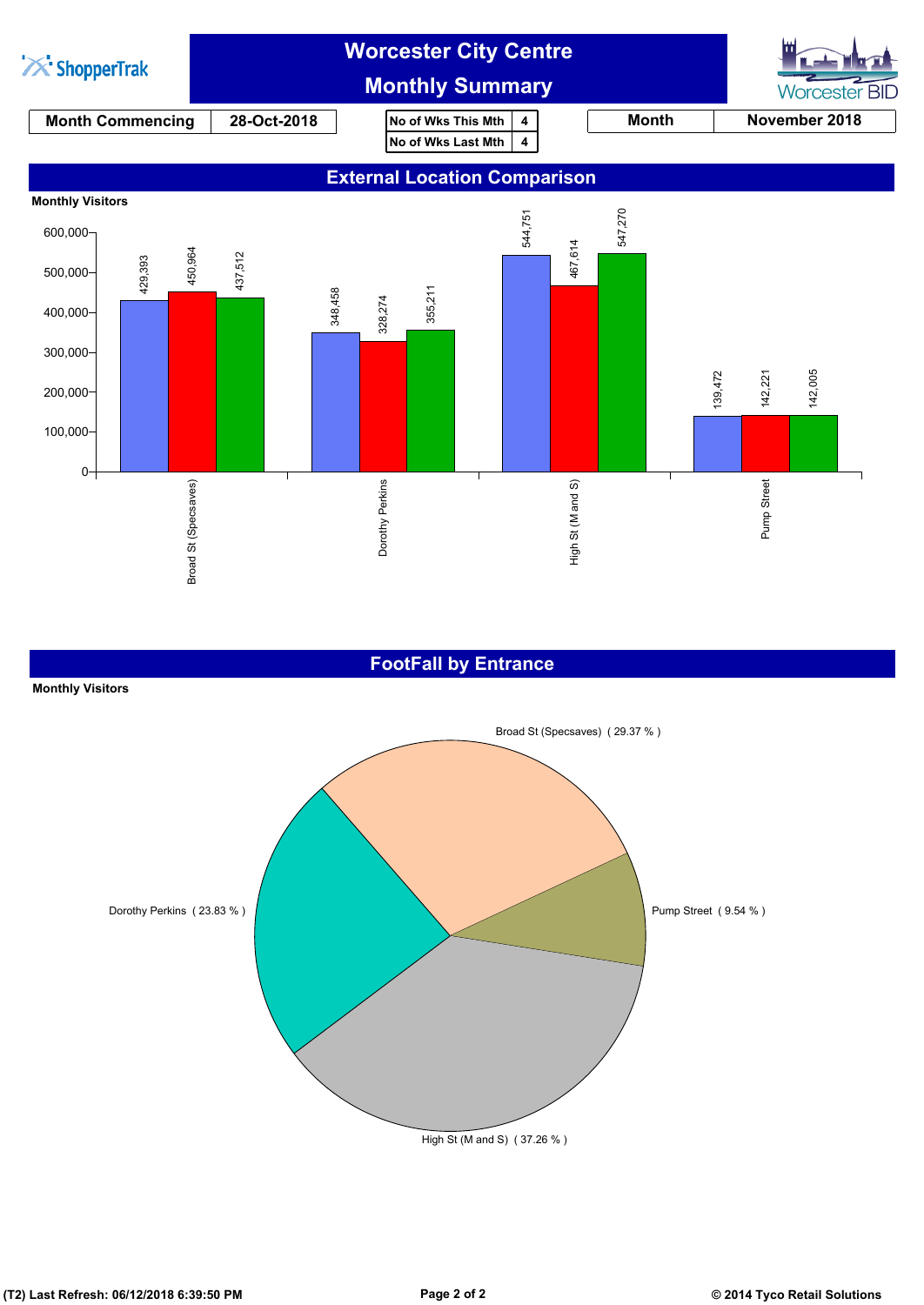

#### **FootFall by Entrance**